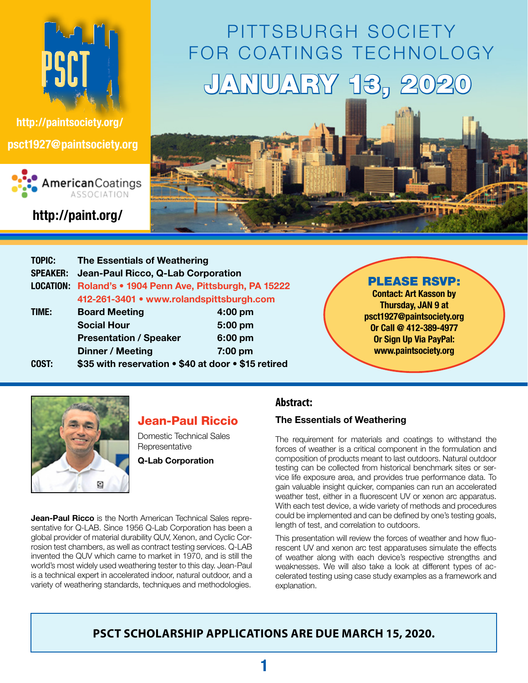

**[http://paintsociety.org/](http://paintsociety.com/) [psct1927@paintsociety.org](mailto:psct1927@paintsociety.org)**



**http://paint.org/**

# PITTSBURGH SOCIETY for Coatings Technology JANUARY 13, 20



| <b>The Essentials of Weathering</b>                 |           |  |  |  |  |
|-----------------------------------------------------|-----------|--|--|--|--|
| Jean-Paul Ricco, Q-Lab Corporation                  |           |  |  |  |  |
| Roland's • 1904 Penn Ave, Pittsburgh, PA 15222      |           |  |  |  |  |
| 412-261-3401 • www.rolandspittsburgh.com            |           |  |  |  |  |
| <b>Board Meeting</b>                                | $4:00$ pm |  |  |  |  |
| <b>Social Hour</b>                                  | $5:00$ pm |  |  |  |  |
| <b>Presentation / Speaker</b>                       | 6:00 pm   |  |  |  |  |
| Dinner / Meeting                                    | 7:00 pm   |  |  |  |  |
| \$35 with reservation • \$40 at door • \$15 retired |           |  |  |  |  |
|                                                     |           |  |  |  |  |

#### PLEASE RSVP:

**Contact: Art Kasson by Thursday, JAN 9 at [psct1927@paintsociety.org](mailto:psct1927@paintsociety.org) Or Call @ 412-389-4977 Or Sign Up Via PayPal: <www.paintsociety.org>** 



### Jean-Paul Riccio

Domestic Technical Sales **Representative** 

**Q-Lab Corporation**

**Jean-Paul Ricco** is the North American Technical Sales representative for Q-LAB. Since 1956 Q-Lab Corporation has been a global provider of material durability QUV, Xenon, and Cyclic Corrosion test chambers, as well as contract testing services. Q-LAB invented the QUV which came to market in 1970, and is still the world's most widely used weathering tester to this day. Jean-Paul is a technical expert in accelerated indoor, natural outdoor, and a variety of weathering standards, techniques and methodologies.

#### **Abstract:**

#### **The Essentials of Weathering**

The requirement for materials and coatings to withstand the forces of weather is a critical component in the formulation and composition of products meant to last outdoors. Natural outdoor testing can be collected from historical benchmark sites or service life exposure area, and provides true performance data. To gain valuable insight quicker, companies can run an accelerated weather test, either in a fluorescent UV or xenon arc apparatus. With each test device, a wide variety of methods and procedures could be implemented and can be defined by one's testing goals, length of test, and correlation to outdoors.

This presentation will review the forces of weather and how fluorescent UV and xenon arc test apparatuses simulate the effects of weather along with each device's respective strengths and weaknesses. We will also take a look at different types of accelerated testing using case study examples as a framework and explanation.

### **PSCT Scholarship Applications are due March 15, 2020.**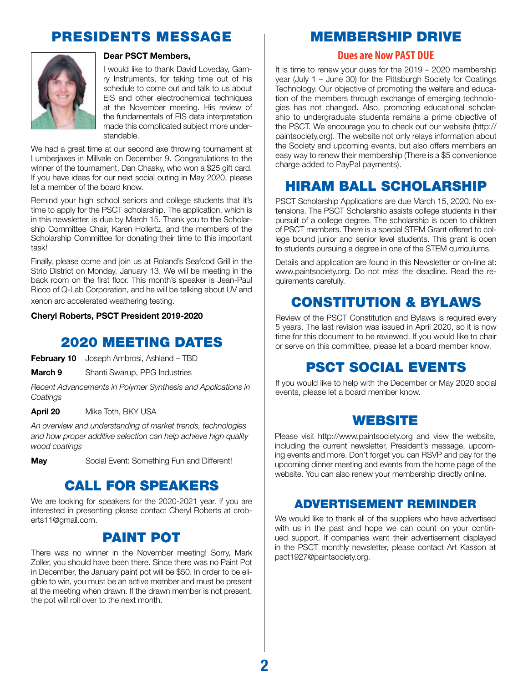# Presidents Message



#### **Dear PSCT Members,**

I would like to thank David Loveday, Gamry Instruments, for taking time out of his schedule to come out and talk to us about EIS and other electrochemical techniques at the November meeting. His review of the fundamentals of EIS data interpretation made this complicated subject more understandable.

We had a great time at our second axe throwing tournament at Lumberjaxes in Millvale on December 9. Congratulations to the winner of the tournament, Dan Chasky, who won a \$25 gift card. If you have ideas for our next social outing in May 2020, please let a member of the board know.

Remind your high school seniors and college students that it's time to apply for the PSCT scholarship. The application, which is in this newsletter, is due by March 15. Thank you to the Scholarship Committee Chair, Karen Hollertz, and the members of the Scholarship Committee for donating their time to this important task!

Finally, please come and join us at Roland's Seafood Grill in the Strip District on Monday, January 13. We will be meeting in the back room on the first floor. This month's speaker is Jean-Paul Ricco of Q-Lab Corporation, and he will be talking about UV and xenon arc accelerated weathering testing.

#### **Cheryl Roberts, PSCT President 2019-2020**

### 2020 Meeting Dates

**February 10** Joseph Ambrosi, Ashland – TBD

**March 9** Shanti Swarup, PPG Industries

*Recent Advancements in Polymer Synthesis and Applications in Coatings* 

**April 20** Mike Toth, BKY USA

*An overview and understanding of market trends, technologies and how proper additive selection can help achieve high quality wood coatings* 

**May Social Event: Something Fun and Different!** 

# Call for Speakers

We are looking for speakers for the 2020-2021 year. If you are interested in presenting please contact Cheryl Roberts at croberts11@gmail.com.

### Paint Pot

There was no winner in the November meeting! Sorry, Mark Zoller, you should have been there. Since there was no Paint Pot in December, the January paint pot will be \$50. In order to be eligible to win, you must be an active member and must be present at the meeting when drawn. If the drawn member is not present, the pot will roll over to the next month.

### Membership Drive

#### **Dues are Now Past Due**

It is time to renew your dues for the 2019 – 2020 membership year (July 1 – June 30) for the Pittsburgh Society for Coatings Technology. Our objective of promoting the welfare and education of the members through exchange of emerging technologies has not changed. Also, promoting educational scholarship to undergraduate students remains a prime objective of the PSCT. We encourage you to check out our website (http:// paintsociety.org). The website not only relays information about the Society and upcoming events, but also offers members an easy way to renew their membership (There is a \$5 convenience charge added to PayPal payments).

# Hiram Ball Scholarship

PSCT Scholarship Applications are due March 15, 2020. No extensions. The PSCT Scholarship assists college students in their pursuit of a college degree. The scholarship is open to children of PSCT members. There is a special STEM Grant offered to college bound junior and senior level students. This grant is open to students pursuing a degree in one of the STEM curriculums.

Details and application are found in this Newsletter or on-line at: www.paintsociety.org. Do not miss the deadline. Read the requirements carefully.

# Constitution & Bylaws

Review of the PSCT Constitution and Bylaws is required every 5 years. The last revision was issued in April 2020, so it is now time for this document to be reviewed. If you would like to chair or serve on this committee, please let a board member know.

# PSCT SOCIAL EVENTS

If you would like to help with the December or May 2020 social events, please let a board member know.

### **WEBSITE**

Please visit http://www.paintsociety.org and view the website, including the current newsletter, President's message, upcoming events and more. Don't forget you can RSVP and pay for the upcoming dinner meeting and events from the home page of the website. You can also renew your membership directly online.

### Advertisement Reminder

We would like to thank all of the suppliers who have advertised with us in the past and hope we can count on your continued support. If companies want their advertisement displayed in the PSCT monthly newsletter, please contact Art Kasson at psct1927@paintsociety.org.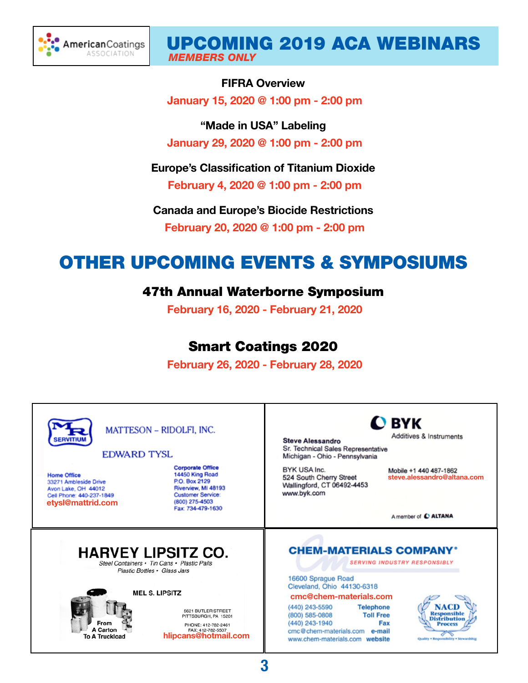

### Upcoming 2019 aca webinars *MEMBERS ONLY*

#### **FIFRA Overview**

 **January 15, 2020 @ 1:00 pm - 2:00 pm**

**"Made in USA" Labeling January 29, 2020 @ 1:00 pm - 2:00 pm**

**Europe's Classification of Titanium Dioxide**

 **February 4, 2020 @ 1:00 pm - 2:00 pm**

**Canada and Europe's Biocide Restrictions February 20, 2020 @ 1:00 pm - 2:00 pm**

# Other Upcoming events & Symposiums

### 47th Annual Waterborne Symposium

 **February 16, 2020 - February 21, 2020**

# Smart Coatings 2020

 **February 26, 2020 - February 28, 2020**



**3**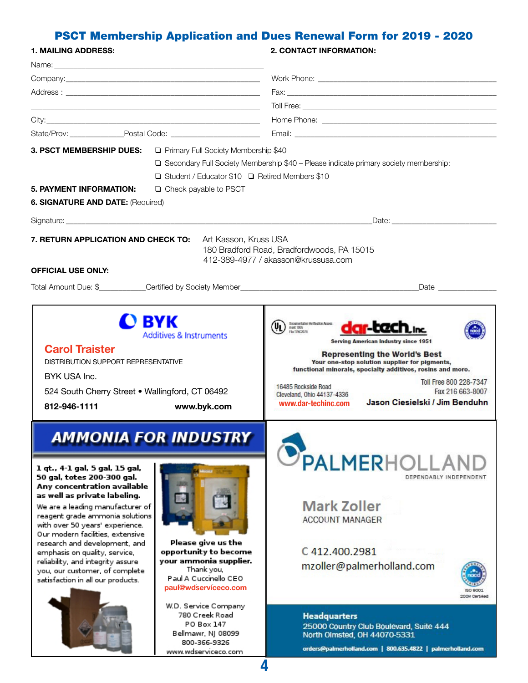# PSCT Membership Application and Dues Renewal Form for 2019 - 2020

| <b>1. MAILING ADDRESS:</b>                                                                                                                                                                                                                                                                                                                                                                                                                                                             |                                                                                                                                                              | <b>2. CONTACT INFORMATION:</b>                                                                                                                                                                                                                                                                                                                                                                                                       |  |  |  |  |
|----------------------------------------------------------------------------------------------------------------------------------------------------------------------------------------------------------------------------------------------------------------------------------------------------------------------------------------------------------------------------------------------------------------------------------------------------------------------------------------|--------------------------------------------------------------------------------------------------------------------------------------------------------------|--------------------------------------------------------------------------------------------------------------------------------------------------------------------------------------------------------------------------------------------------------------------------------------------------------------------------------------------------------------------------------------------------------------------------------------|--|--|--|--|
|                                                                                                                                                                                                                                                                                                                                                                                                                                                                                        |                                                                                                                                                              |                                                                                                                                                                                                                                                                                                                                                                                                                                      |  |  |  |  |
|                                                                                                                                                                                                                                                                                                                                                                                                                                                                                        |                                                                                                                                                              |                                                                                                                                                                                                                                                                                                                                                                                                                                      |  |  |  |  |
|                                                                                                                                                                                                                                                                                                                                                                                                                                                                                        |                                                                                                                                                              |                                                                                                                                                                                                                                                                                                                                                                                                                                      |  |  |  |  |
|                                                                                                                                                                                                                                                                                                                                                                                                                                                                                        | <u> 1989 - Johann Barn, fransk politik (f. 1989)</u>                                                                                                         |                                                                                                                                                                                                                                                                                                                                                                                                                                      |  |  |  |  |
|                                                                                                                                                                                                                                                                                                                                                                                                                                                                                        |                                                                                                                                                              |                                                                                                                                                                                                                                                                                                                                                                                                                                      |  |  |  |  |
| State/Prov: _______________________Postal Code: ________________________________                                                                                                                                                                                                                                                                                                                                                                                                       |                                                                                                                                                              |                                                                                                                                                                                                                                                                                                                                                                                                                                      |  |  |  |  |
| 3. PSCT MEMBERSHIP DUES:                                                                                                                                                                                                                                                                                                                                                                                                                                                               | Primary Full Society Membership \$40                                                                                                                         |                                                                                                                                                                                                                                                                                                                                                                                                                                      |  |  |  |  |
|                                                                                                                                                                                                                                                                                                                                                                                                                                                                                        | □ Secondary Full Society Membership \$40 - Please indicate primary society membership:                                                                       |                                                                                                                                                                                                                                                                                                                                                                                                                                      |  |  |  |  |
|                                                                                                                                                                                                                                                                                                                                                                                                                                                                                        | □ Student / Educator \$10 □ Retired Members \$10                                                                                                             |                                                                                                                                                                                                                                                                                                                                                                                                                                      |  |  |  |  |
| 5. PAYMENT INFORMATION:                                                                                                                                                                                                                                                                                                                                                                                                                                                                | $\Box$ Check payable to PSCT                                                                                                                                 |                                                                                                                                                                                                                                                                                                                                                                                                                                      |  |  |  |  |
| 6. SIGNATURE AND DATE: (Required)                                                                                                                                                                                                                                                                                                                                                                                                                                                      |                                                                                                                                                              |                                                                                                                                                                                                                                                                                                                                                                                                                                      |  |  |  |  |
|                                                                                                                                                                                                                                                                                                                                                                                                                                                                                        |                                                                                                                                                              |                                                                                                                                                                                                                                                                                                                                                                                                                                      |  |  |  |  |
|                                                                                                                                                                                                                                                                                                                                                                                                                                                                                        |                                                                                                                                                              | Date: the contract of the contract of the contract of the contract of the contract of the contract of the contract of the contract of the contract of the contract of the contract of the contract of the contract of the cont                                                                                                                                                                                                       |  |  |  |  |
| 7. RETURN APPLICATION AND CHECK TO:<br><b>OFFICIAL USE ONLY:</b>                                                                                                                                                                                                                                                                                                                                                                                                                       | Art Kasson, Kruss USA                                                                                                                                        | 180 Bradford Road, Bradfordwoods, PA 15015<br>412-389-4977 / akasson@krussusa.com                                                                                                                                                                                                                                                                                                                                                    |  |  |  |  |
|                                                                                                                                                                                                                                                                                                                                                                                                                                                                                        |                                                                                                                                                              | Date $\frac{1}{2}$                                                                                                                                                                                                                                                                                                                                                                                                                   |  |  |  |  |
|                                                                                                                                                                                                                                                                                                                                                                                                                                                                                        |                                                                                                                                                              |                                                                                                                                                                                                                                                                                                                                                                                                                                      |  |  |  |  |
| D BYK<br><b>Additives &amp; Instruments</b><br><b>Carol Traister</b><br><b>DISTRIBUTION SUPPORT REPRESENTATIVE</b><br>BYK USA Inc.<br>524 South Cherry Street . Wallingford, CT 06492<br>812-946-1111<br>www.byk.com                                                                                                                                                                                                                                                                   |                                                                                                                                                              | Documentation Verification Assession<br>mant 1995<br>File T7WC2078<br><b>Serving American Industry since 1951</b><br><b>Representing the World's Best</b><br>Your one-stop solution supplier for pigments,<br>functional minerals, specialty additives, resins and more.<br>Toll Free 800 228-7347<br>16485 Rockside Road<br>Fax 216 663-8007<br>Cleveland, Ohio 44137-4336<br>Jason Ciesielski / Jim Benduhn<br>www.dar-techinc.com |  |  |  |  |
| <b>AMMONIA FOR INDUSTRY</b><br>1 qt., 4-1 gal, 5 gal, 15 gal,<br>50 gal, totes 200-300 gal.<br>Any concentration available<br>as well as private labeling.<br>We are a leading manufacturer of<br>reagent grade ammonia solutions<br>with over 50 years' experience.<br>Our modern facilities, extensive<br>research and development, and<br>emphasis on quality, service,<br>reliability, and integrity assure<br>you, our customer, of complete<br>satisfaction in all our products. | Please give us the<br>opportunity to become<br>your ammonia supplier.<br>Thank you,<br>Paul A Cuccinello CEO<br>paul@wdserviceco.com<br>W.D. Service Company | PALMERHOLLAN<br>DEPENDABLY INDEPENDENT<br><b>Mark Zoller</b><br><b>ACCOUNT MANAGER</b><br>C412.400.2981<br>mzoller@palmerholland.com                                                                                                                                                                                                                                                                                                 |  |  |  |  |
|                                                                                                                                                                                                                                                                                                                                                                                                                                                                                        | 780 Creek Road<br>PO Box 147<br>Bellmawr, NJ 08099<br>800-366-9326<br>www.wdserviceco.com                                                                    | <b>Headquarters</b><br>25000 Country Club Boulevard, Suite 444<br>North Olmsted, OH 44070-5331<br>orders@palmerholland.com   800.635.4822   palmerholland.com                                                                                                                                                                                                                                                                        |  |  |  |  |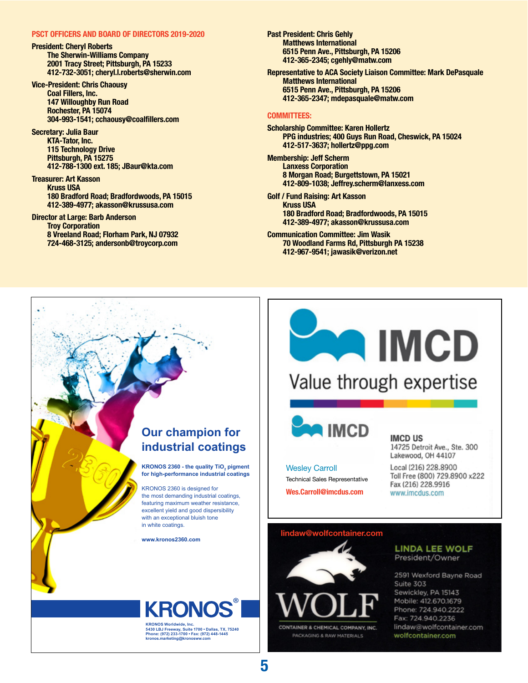#### **PSCT Officers and Board of Directors 2019-2020**

**President: Cheryl Roberts The Sherwin-Williams Company 2001 Tracy Street; Pittsburgh, PA 15233 412-732-3051; cheryl.l.roberts@sherwin.com**

**Vice-President: Chris Chaousy Coal Fillers, Inc. 147 Willoughby Run Road Rochester, PA 15074 304-993-1541; cchaousy@coalfillers.com** 

**Secretary: Julia Baur KTA-Tator, Inc. 115 Technology Drive Pittsburgh, PA 15275 412-788-1300 ext. 185; JBaur@kta.com**

**Treasurer: Art Kasson Kruss USA 180 Bradford Road; Bradfordwoods, PA 15015 412-389-4977; akasson@krussusa.com**

**Director at Large: Barb Anderson Troy Corporation 8 Vreeland Road; Florham Park, NJ 07932 724-468-3125; andersonb@troycorp.com**

**Past President: Chris Gehly Matthews International 6515 Penn Ave., Pittsburgh, PA 15206 412-365-2345; cgehly@matw.com**

**Representative to ACA Society Liaison Committee: Mark DePasquale Matthews International 6515 Penn Ave., Pittsburgh, PA 15206 412-365-2347; mdepasquale@matw.com**

#### **Committees:**

**Scholarship Committee: Karen Hollertz PPG industries; 400 Guys Run Road, Cheswick, PA 15024 412-517-3637; hollertz@ppg.com**

**Membership: Jeff Scherm Lanxess Corporation 8 Morgan Road; Burgettstown, PA 15021 412-809-1038; Jeffrey.scherm@lanxess.com**

**Golf / Fund Raising: Art Kasson Kruss USA 180 Bradford Road; Bradfordwoods, PA 15015 412-389-4977; akasson@krussusa.com** 

**Communication Committee: Jim Wasik 70 Woodland Farms Rd, Pittsburgh PA 15238 412-967-9541; jawasik@verizon.net**

### **Our champion for industrial coatings**

**KRONOS 2360 - the quality TiO<sub>2</sub> pigment for high-performance industrial coatings**

KRONOS 2360 is designed for the most demanding industrial coatings, featuring maximum weather resistance, excellent yield and good dispersibility with an exceptional bluish tone in white coatings.

**www.kronos2360.com**

**KRONOS Worldwide, Inc.**

**kronos.marketing@kronosww.com**

**5430 LBJ Freeway, Suite 1700 • Dallas, TX, 75240 Phone: (972) 233-1700 • Fax: (972) 448-1445**





**IMCD US** 14725 Detroit Ave., Ste. 300 Lakewood, OH 44107

Local (216) 228,8900 Toll Free (800) 729.8900 x222 Fax (216) 228.9916 www.imcdus.com

#### **[lindaw@wolfcontainer.com](mailto:lindaw@wolfcontainer.com)**

**[Wes.Carroll@imcdus.com](mailto:Wes.Carroll@imcdus.com)**

Technical Sales Representative

Wesley Carroll



**LINDA LEE WOLF** President/Owner

2591 Wexford Bayne Road Suite 303 Sewickley, PA 15143 Mobile: 412.670.1679 Phone: 724.940.2222 Fax: 724.940.2236 lindaw@wolfcontainer.com wolfcontainer.com

### **5**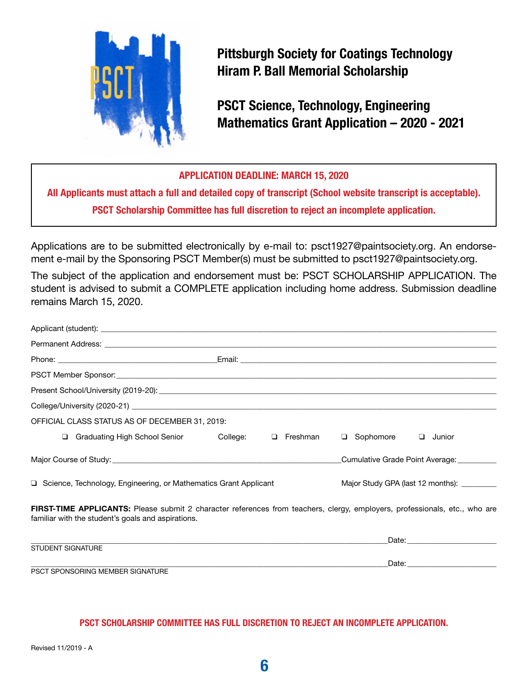

**Pittsburgh Society for Coatings Technology Hiram P. Ball Memorial Scholarship** 

**PSCT Science, Technology, Engineering Mathematics Grant Application – 2020 - 2021**

#### **Application Deadline: March 15, 2020**

**All Applicants must attach a full and detailed copy of transcript (School website transcript is acceptable). PSCT Scholarship Committee has full discretion to reject an incomplete application.**

Applications are to be submitted electronically by e-mail to: psct1927@paintsociety.org. An endorsement e-mail by the Sponsoring PSCT Member(s) must be submitted to psct1927@paintsociety.org.

The subject of the application and endorsement must be: PSCT SCHOLARSHIP APPLICATION. The student is advised to submit a COMPLETE application including home address. Submission deadline remains March 15, 2020.

| OFFICIAL CLASS STATUS AS OF DECEMBER 31, 2019:                                                                                                                                   |  |                                             |             |        |                                                                                                                                                                                                                                |
|----------------------------------------------------------------------------------------------------------------------------------------------------------------------------------|--|---------------------------------------------|-------------|--------|--------------------------------------------------------------------------------------------------------------------------------------------------------------------------------------------------------------------------------|
| □ Graduating High School Senior College: □                                                                                                                                       |  | Freshman                                    | □ Sophomore | $\Box$ | Junior                                                                                                                                                                                                                         |
|                                                                                                                                                                                  |  |                                             |             |        | Cumulative Grade Point Average:                                                                                                                                                                                                |
| □ Science, Technology, Engineering, or Mathematics Grant Applicant                                                                                                               |  | Major Study GPA (last 12 months): _________ |             |        |                                                                                                                                                                                                                                |
| FIRST-TIME APPLICANTS: Please submit 2 character references from teachers, clergy, employers, professionals, etc., who are<br>familiar with the student's goals and aspirations. |  |                                             |             |        |                                                                                                                                                                                                                                |
|                                                                                                                                                                                  |  |                                             |             |        |                                                                                                                                                                                                                                |
| <b>STUDENT SIGNATURE</b>                                                                                                                                                         |  |                                             |             |        |                                                                                                                                                                                                                                |
| PSCT SPONSORING MEMBER SIGNATURE                                                                                                                                                 |  |                                             |             |        | Date: the contract of the contract of the contract of the contract of the contract of the contract of the contract of the contract of the contract of the contract of the contract of the contract of the contract of the cont |

#### **PSCT Scholarship Committee has full discretion to reject an incomplete application.**